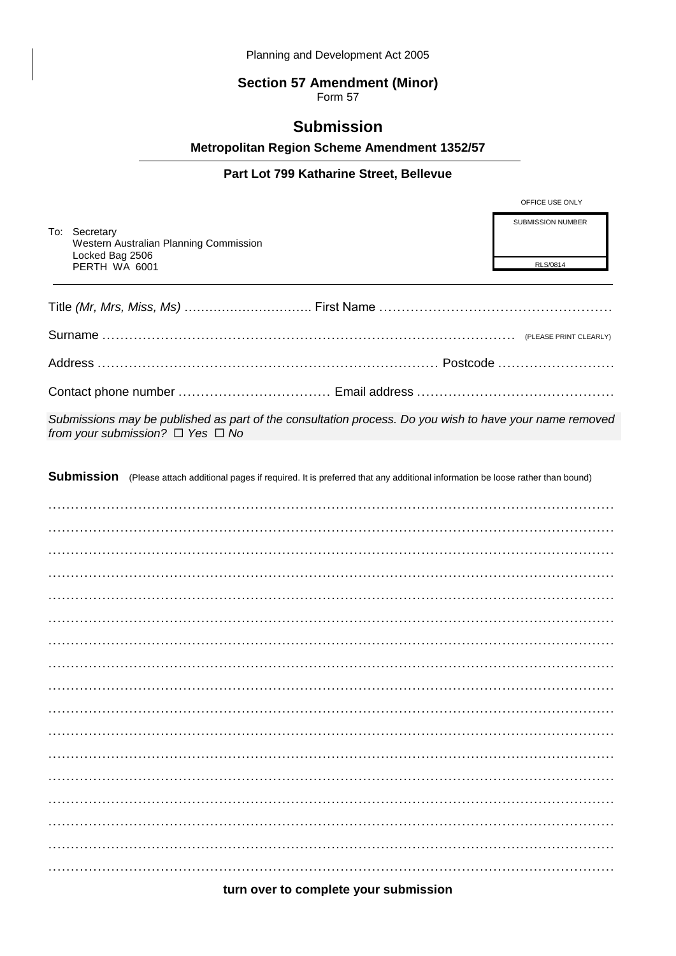# **Section 57 Amendment (Minor)**<br>Form 57

## **Submission**

Metropolitan Region Scheme Amendment 1352/57

### Part Lot 799 Katharine Street, Bellevue

|                                                                                                                                                       |                                                                                                                                     | OFFICE USE ONLY                      |  |
|-------------------------------------------------------------------------------------------------------------------------------------------------------|-------------------------------------------------------------------------------------------------------------------------------------|--------------------------------------|--|
|                                                                                                                                                       | To: Secretary<br>Western Australian Planning Commission<br>Locked Bag 2506<br>PERTH WA 6001                                         | <b>SUBMISSION NUMBER</b><br>RLS/0814 |  |
|                                                                                                                                                       |                                                                                                                                     |                                      |  |
|                                                                                                                                                       |                                                                                                                                     |                                      |  |
|                                                                                                                                                       |                                                                                                                                     |                                      |  |
|                                                                                                                                                       |                                                                                                                                     |                                      |  |
| Submissions may be published as part of the consultation process. Do you wish to have your name removed<br>from your submission? $\Box$ Yes $\Box$ No |                                                                                                                                     |                                      |  |
|                                                                                                                                                       | Submission (Please attach additional pages if required. It is preferred that any additional information be loose rather than bound) |                                      |  |
|                                                                                                                                                       |                                                                                                                                     |                                      |  |
|                                                                                                                                                       |                                                                                                                                     |                                      |  |
|                                                                                                                                                       |                                                                                                                                     |                                      |  |
|                                                                                                                                                       |                                                                                                                                     |                                      |  |
|                                                                                                                                                       |                                                                                                                                     |                                      |  |
|                                                                                                                                                       |                                                                                                                                     |                                      |  |
|                                                                                                                                                       |                                                                                                                                     |                                      |  |
|                                                                                                                                                       |                                                                                                                                     |                                      |  |
|                                                                                                                                                       |                                                                                                                                     |                                      |  |
|                                                                                                                                                       |                                                                                                                                     |                                      |  |
|                                                                                                                                                       |                                                                                                                                     |                                      |  |
|                                                                                                                                                       |                                                                                                                                     |                                      |  |
|                                                                                                                                                       |                                                                                                                                     |                                      |  |
|                                                                                                                                                       |                                                                                                                                     |                                      |  |
|                                                                                                                                                       |                                                                                                                                     |                                      |  |

turn over to complete your submission